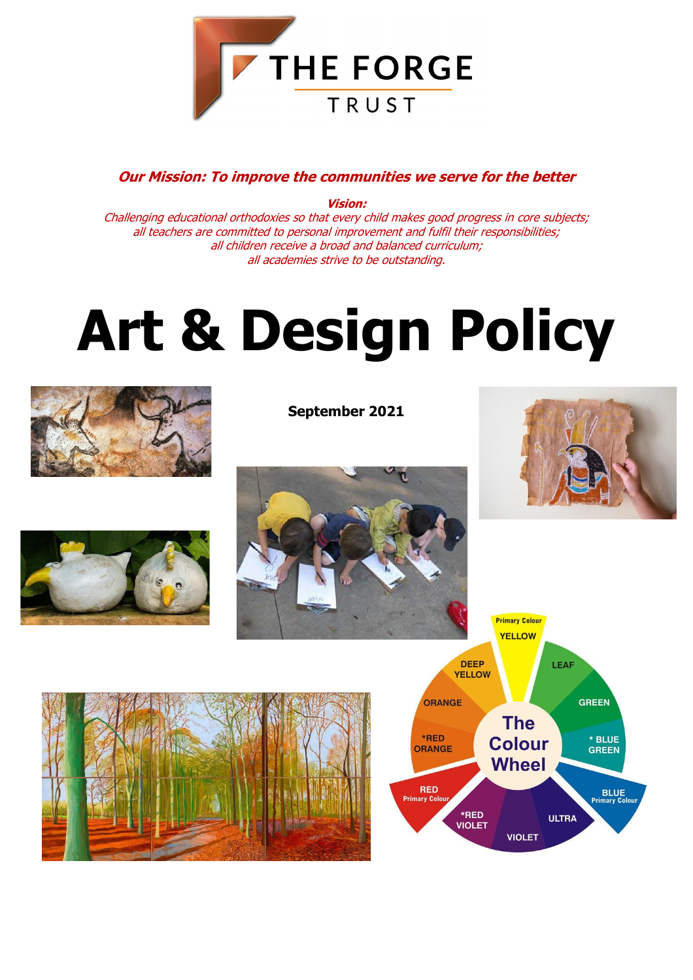

#### **Our Mission: To improve the communities we serve for the better**

**Vision:** Challenging educational orthodoxies so that every child makes good progress in core subjects; all teachers are committed to personal improvement and fulfil their responsibilities; all children receive a broad and balanced curriculum; all academies strive to be outstanding.

# **Art & Design Policy**



**September 2021**









**Primary Colour** 

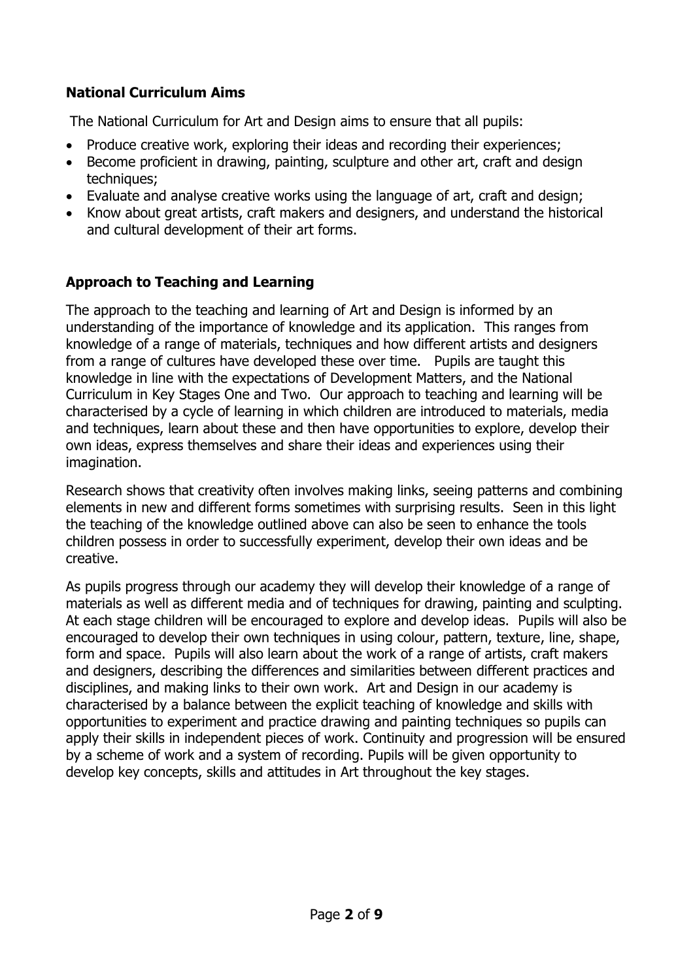#### **National Curriculum Aims**

The National Curriculum for Art and Design aims to ensure that all pupils:

- Produce creative work, exploring their ideas and recording their experiences;
- Become proficient in drawing, painting, sculpture and other art, craft and design techniques;
- Evaluate and analyse creative works using the language of art, craft and design;
- Know about great artists, craft makers and designers, and understand the historical and cultural development of their art forms.

#### **Approach to Teaching and Learning**

The approach to the teaching and learning of Art and Design is informed by an understanding of the importance of knowledge and its application. This ranges from knowledge of a range of materials, techniques and how different artists and designers from a range of cultures have developed these over time. Pupils are taught this knowledge in line with the expectations of Development Matters, and the National Curriculum in Key Stages One and Two. Our approach to teaching and learning will be characterised by a cycle of learning in which children are introduced to materials, media and techniques, learn about these and then have opportunities to explore, develop their own ideas, express themselves and share their ideas and experiences using their imagination.

Research shows that creativity often involves making links, seeing patterns and combining elements in new and different forms sometimes with surprising results. Seen in this light the teaching of the knowledge outlined above can also be seen to enhance the tools children possess in order to successfully experiment, develop their own ideas and be creative.

As pupils progress through our academy they will develop their knowledge of a range of materials as well as different media and of techniques for drawing, painting and sculpting. At each stage children will be encouraged to explore and develop ideas. Pupils will also be encouraged to develop their own techniques in using colour, pattern, texture, line, shape, form and space. Pupils will also learn about the work of a range of artists, craft makers and designers, describing the differences and similarities between different practices and disciplines, and making links to their own work. Art and Design in our academy is characterised by a balance between the explicit teaching of knowledge and skills with opportunities to experiment and practice drawing and painting techniques so pupils can apply their skills in independent pieces of work. Continuity and progression will be ensured by a scheme of work and a system of recording. Pupils will be given opportunity to develop key concepts, skills and attitudes in Art throughout the key stages.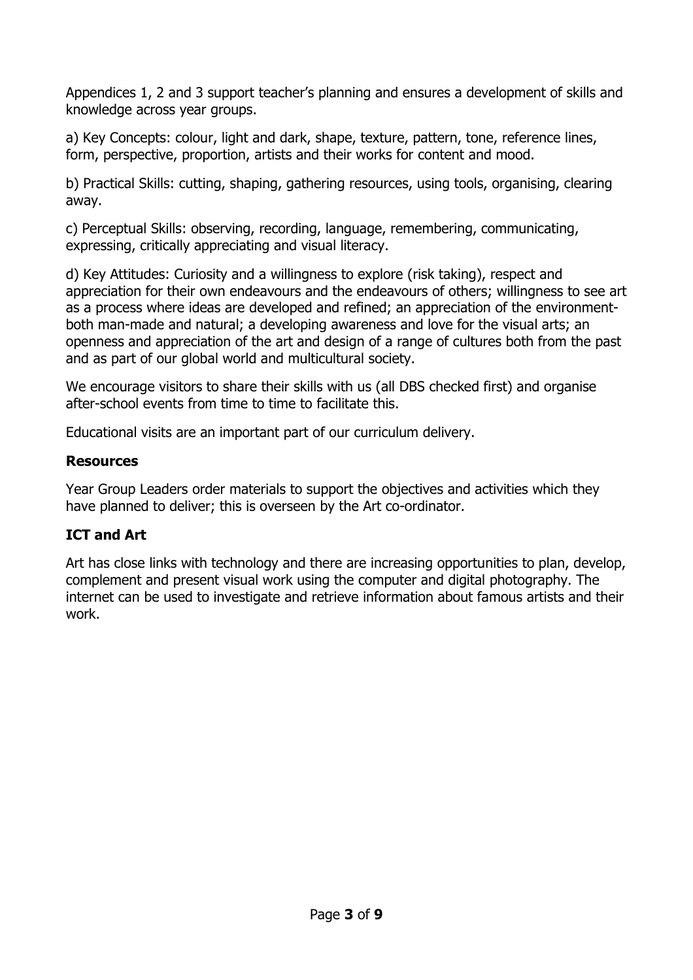Appendices 1, 2 and 3 support teacher's planning and ensures a development of skills and knowledge across year groups.

a) Key Concepts: colour, light and dark, shape, texture, pattern, tone, reference lines, form, perspective, proportion, artists and their works for content and mood.

b) Practical Skills: cutting, shaping, gathering resources, using tools, organising, clearing away.

c) Perceptual Skills: observing, recording, language, remembering, communicating, expressing, critically appreciating and visual literacy.

d) Key Attitudes: Curiosity and a willingness to explore (risk taking), respect and appreciation for their own endeavours and the endeavours of others; willingness to see art as a process where ideas are developed and refined; an appreciation of the environmentboth man-made and natural; a developing awareness and love for the visual arts; an openness and appreciation of the art and design of a range of cultures both from the past and as part of our global world and multicultural society.

We encourage visitors to share their skills with us (all DBS checked first) and organise after-school events from time to time to facilitate this.

Educational visits are an important part of our curriculum delivery.

#### **Resources**

Year Group Leaders order materials to support the objectives and activities which they have planned to deliver; this is overseen by the Art co-ordinator.

#### **ICT and Art**

Art has close links with technology and there are increasing opportunities to plan, develop, complement and present visual work using the computer and digital photography. The internet can be used to investigate and retrieve information about famous artists and their work.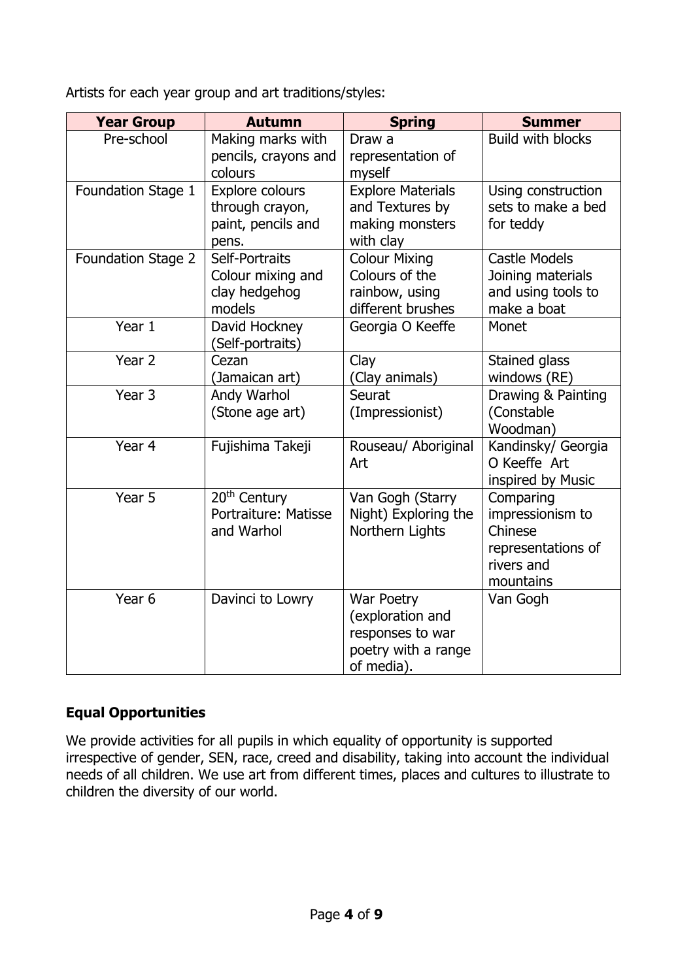Artists for each year group and art traditions/styles:

| <b>Year Group</b>  | <b>Autumn</b>                                                     | <b>Spring</b>                                                                           | <b>Summer</b>                                                                             |
|--------------------|-------------------------------------------------------------------|-----------------------------------------------------------------------------------------|-------------------------------------------------------------------------------------------|
| Pre-school         | Making marks with<br>pencils, crayons and<br>colours              | Draw a<br>representation of<br>myself                                                   | <b>Build with blocks</b>                                                                  |
| Foundation Stage 1 | Explore colours<br>through crayon,<br>paint, pencils and<br>pens. | <b>Explore Materials</b><br>and Textures by<br>making monsters<br>with clay             | Using construction<br>sets to make a bed<br>for teddy                                     |
| Foundation Stage 2 | Self-Portraits<br>Colour mixing and<br>clay hedgehog<br>models    | <b>Colour Mixing</b><br>Colours of the<br>rainbow, using<br>different brushes           | <b>Castle Models</b><br>Joining materials<br>and using tools to<br>make a boat            |
| Year 1             | David Hockney<br>(Self-portraits)                                 | Georgia O Keeffe                                                                        | Monet                                                                                     |
| Year 2             | Cezan<br>(Jamaican art)                                           | Clay<br>(Clay animals)                                                                  | Stained glass<br>windows (RE)                                                             |
| Year <sub>3</sub>  | Andy Warhol<br>(Stone age art)                                    | Seurat<br>(Impressionist)                                                               | Drawing & Painting<br>(Constable<br>Woodman)                                              |
| Year 4             | Fujishima Takeji                                                  | Rouseau/ Aboriginal<br>Art                                                              | Kandinsky/ Georgia<br>O Keeffe Art<br>inspired by Music                                   |
| Year 5             | 20 <sup>th</sup> Century<br>Portraiture: Matisse<br>and Warhol    | Van Gogh (Starry<br>Night) Exploring the<br>Northern Lights                             | Comparing<br>impressionism to<br>Chinese<br>representations of<br>rivers and<br>mountains |
| Year <sub>6</sub>  | Davinci to Lowry                                                  | War Poetry<br>(exploration and<br>responses to war<br>poetry with a range<br>of media). | Van Gogh                                                                                  |

### **Equal Opportunities**

We provide activities for all pupils in which equality of opportunity is supported irrespective of gender, SEN, race, creed and disability, taking into account the individual needs of all children. We use art from different times, places and cultures to illustrate to children the diversity of our world.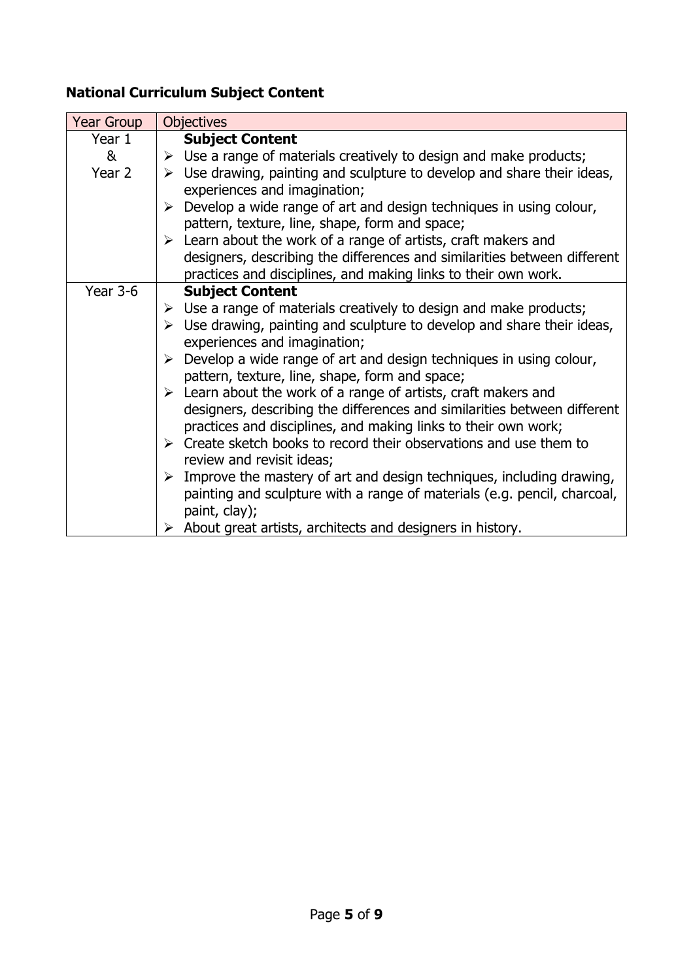## **National Curriculum Subject Content**

| <b>Year Group</b> | <b>Objectives</b>                                                                                                      |
|-------------------|------------------------------------------------------------------------------------------------------------------------|
| Year 1            | <b>Subject Content</b>                                                                                                 |
| &                 | $\triangleright$ Use a range of materials creatively to design and make products;                                      |
| Year 2            | $\triangleright$ Use drawing, painting and sculpture to develop and share their ideas,<br>experiences and imagination; |
|                   | Develop a wide range of art and design techniques in using colour,<br>➤                                                |
|                   | pattern, texture, line, shape, form and space;                                                                         |
|                   | $\triangleright$ Learn about the work of a range of artists, craft makers and                                          |
|                   | designers, describing the differences and similarities between different                                               |
|                   | practices and disciplines, and making links to their own work.                                                         |
| <b>Year 3-6</b>   | <b>Subject Content</b>                                                                                                 |
|                   | $\triangleright$ Use a range of materials creatively to design and make products;                                      |
|                   | $\triangleright$ Use drawing, painting and sculpture to develop and share their ideas,                                 |
|                   | experiences and imagination;                                                                                           |
|                   | $\triangleright$ Develop a wide range of art and design techniques in using colour,                                    |
|                   | pattern, texture, line, shape, form and space;                                                                         |
|                   | $\triangleright$ Learn about the work of a range of artists, craft makers and                                          |
|                   | designers, describing the differences and similarities between different                                               |
|                   | practices and disciplines, and making links to their own work;                                                         |
|                   | $\triangleright$ Create sketch books to record their observations and use them to                                      |
|                   | review and revisit ideas;                                                                                              |
|                   | Improve the mastery of art and design techniques, including drawing,<br>≻                                              |
|                   | painting and sculpture with a range of materials (e.g. pencil, charcoal,                                               |
|                   | paint, clay);                                                                                                          |
|                   | $\triangleright$ About great artists, architects and designers in history.                                             |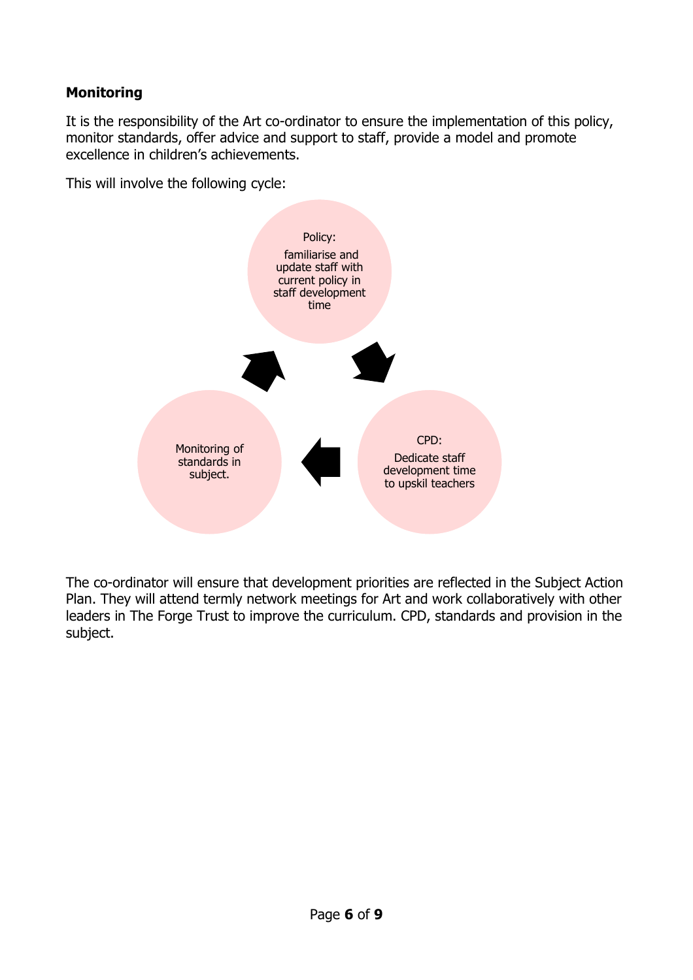### **Monitoring**

It is the responsibility of the Art co-ordinator to ensure the implementation of this policy, monitor standards, offer advice and support to staff, provide a model and promote excellence in children's achievements.

This will involve the following cycle:



The co-ordinator will ensure that development priorities are reflected in the Subject Action Plan. They will attend termly network meetings for Art and work collaboratively with other leaders in The Forge Trust to improve the curriculum. CPD, standards and provision in the subject.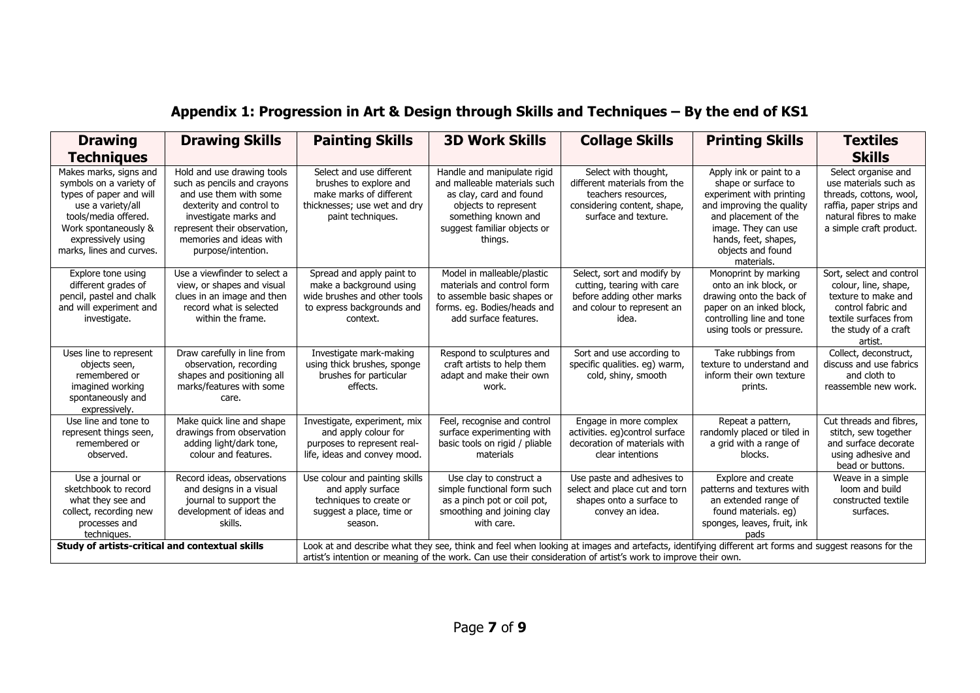| <b>Drawing</b>                                                                                                                                                                                      | <b>Drawing Skills</b>                                                                                                                                                                                                     | <b>Painting Skills</b>                                                                                                                                                                                                                                                | <b>3D Work Skills</b>                                                                                                                                                           | <b>Collage Skills</b>                                                                                                              | <b>Printing Skills</b>                                                                                                                                                                                            | <b>Textiles</b>                                                                                                                                           |
|-----------------------------------------------------------------------------------------------------------------------------------------------------------------------------------------------------|---------------------------------------------------------------------------------------------------------------------------------------------------------------------------------------------------------------------------|-----------------------------------------------------------------------------------------------------------------------------------------------------------------------------------------------------------------------------------------------------------------------|---------------------------------------------------------------------------------------------------------------------------------------------------------------------------------|------------------------------------------------------------------------------------------------------------------------------------|-------------------------------------------------------------------------------------------------------------------------------------------------------------------------------------------------------------------|-----------------------------------------------------------------------------------------------------------------------------------------------------------|
| <b>Techniques</b>                                                                                                                                                                                   |                                                                                                                                                                                                                           |                                                                                                                                                                                                                                                                       |                                                                                                                                                                                 |                                                                                                                                    |                                                                                                                                                                                                                   | <b>Skills</b>                                                                                                                                             |
| Makes marks, signs and<br>symbols on a variety of<br>types of paper and will<br>use a variety/all<br>tools/media offered.<br>Work spontaneously &<br>expressively using<br>marks, lines and curves. | Hold and use drawing tools<br>such as pencils and crayons<br>and use them with some<br>dexterity and control to<br>investigate marks and<br>represent their observation,<br>memories and ideas with<br>purpose/intention. | Select and use different<br>brushes to explore and<br>make marks of different<br>thicknesses; use wet and dry<br>paint techniques.                                                                                                                                    | Handle and manipulate rigid<br>and malleable materials such<br>as clay, card and found<br>objects to represent<br>something known and<br>suggest familiar objects or<br>things. | Select with thought,<br>different materials from the<br>teachers resources,<br>considering content, shape,<br>surface and texture. | Apply ink or paint to a<br>shape or surface to<br>experiment with printing<br>and improving the quality<br>and placement of the<br>image. They can use<br>hands, feet, shapes,<br>objects and found<br>materials. | Select organise and<br>use materials such as<br>threads, cottons, wool,<br>raffia, paper strips and<br>natural fibres to make<br>a simple craft product.  |
| Explore tone using<br>different grades of<br>pencil, pastel and chalk<br>and will experiment and<br>investigate.                                                                                    | Use a viewfinder to select a<br>view, or shapes and visual<br>clues in an image and then<br>record what is selected<br>within the frame.                                                                                  | Spread and apply paint to<br>make a background using<br>wide brushes and other tools<br>to express backgrounds and<br>context.                                                                                                                                        | Model in malleable/plastic<br>materials and control form<br>to assemble basic shapes or<br>forms. eg. Bodies/heads and<br>add surface features.                                 | Select, sort and modify by<br>cutting, tearing with care<br>before adding other marks<br>and colour to represent an<br>idea.       | Monoprint by marking<br>onto an ink block, or<br>drawing onto the back of<br>paper on an inked block,<br>controlling line and tone<br>using tools or pressure.                                                    | Sort, select and control<br>colour, line, shape,<br>texture to make and<br>control fabric and<br>textile surfaces from<br>the study of a craft<br>artist. |
| Uses line to represent<br>objects seen,<br>remembered or<br>imagined working<br>spontaneously and<br>expressively.                                                                                  | Draw carefully in line from<br>observation, recording<br>shapes and positioning all<br>marks/features with some<br>care.                                                                                                  | Investigate mark-making<br>using thick brushes, sponge<br>brushes for particular<br>effects.                                                                                                                                                                          | Respond to sculptures and<br>craft artists to help them<br>adapt and make their own<br>work.                                                                                    | Sort and use according to<br>specific qualities. eg) warm,<br>cold, shiny, smooth                                                  | Take rubbings from<br>texture to understand and<br>inform their own texture<br>prints.                                                                                                                            | Collect, deconstruct,<br>discuss and use fabrics<br>and cloth to<br>reassemble new work.                                                                  |
| Use line and tone to<br>represent things seen,<br>remembered or<br>observed                                                                                                                         | Make quick line and shape<br>drawings from observation<br>adding light/dark tone,<br>colour and features.                                                                                                                 | Investigate, experiment, mix<br>and apply colour for<br>purposes to represent real-<br>life, ideas and convey mood.                                                                                                                                                   | Feel, recognise and control<br>surface experimenting with<br>basic tools on rigid / pliable<br>materials                                                                        | Engage in more complex<br>activities. eg)control surface<br>decoration of materials with<br>clear intentions                       | Repeat a pattern,<br>randomly placed or tiled in<br>a grid with a range of<br>blocks.                                                                                                                             | Cut threads and fibres.<br>stitch, sew together<br>and surface decorate<br>using adhesive and<br>bead or buttons.                                         |
| Use a journal or<br>sketchbook to record<br>what they see and<br>collect, recording new<br>processes and<br>techniques.                                                                             | Record ideas, observations<br>and designs in a visual<br>journal to support the<br>development of ideas and<br>skills.                                                                                                    | Use colour and painting skills<br>and apply surface<br>techniques to create or<br>suggest a place, time or<br>season.                                                                                                                                                 | Use clay to construct a<br>simple functional form such<br>as a pinch pot or coil pot,<br>smoothing and joining clay<br>with care.                                               | Use paste and adhesives to<br>select and place cut and torn<br>shapes onto a surface to<br>convey an idea.                         | Explore and create<br>patterns and textures with<br>an extended range of<br>found materials. eg)<br>sponges, leaves, fruit, ink<br>pads                                                                           | Weave in a simple<br>loom and build<br>constructed textile<br>surfaces.                                                                                   |
| Study of artists-critical and contextual skills                                                                                                                                                     |                                                                                                                                                                                                                           | Look at and describe what they see, think and feel when looking at images and artefacts, identifying different art forms and suggest reasons for the<br>artist's intention or meaning of the work. Can use their consideration of artist's work to improve their own. |                                                                                                                                                                                 |                                                                                                                                    |                                                                                                                                                                                                                   |                                                                                                                                                           |

## **Appendix 1: Progression in Art & Design through Skills and Techniques – By the end of KS1**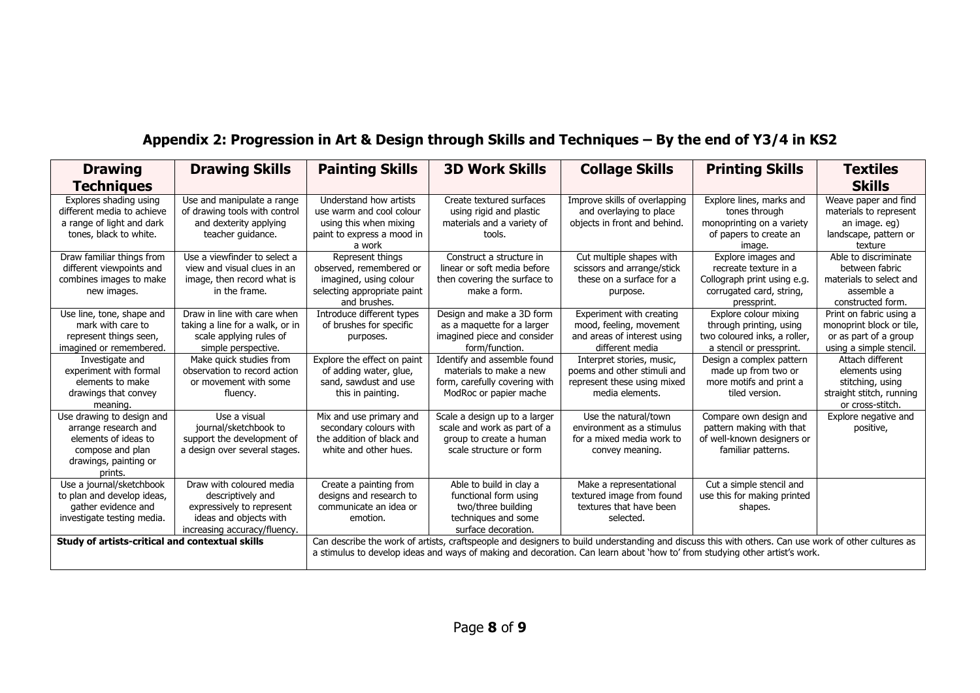## **Appendix 2: Progression in Art & Design through Skills and Techniques – By the end of Y3/4 in KS2**

| <b>Drawing</b>                                                                                                                                                                                                                                                                                                                       | <b>Drawing Skills</b>                                                                                                                | <b>Painting Skills</b>                                                                                               | <b>3D Work Skills</b>                                                                                                | <b>Collage Skills</b>                                                                                      | <b>Printing Skills</b>                                                                                                | <b>Textiles</b>                                                                                         |
|--------------------------------------------------------------------------------------------------------------------------------------------------------------------------------------------------------------------------------------------------------------------------------------------------------------------------------------|--------------------------------------------------------------------------------------------------------------------------------------|----------------------------------------------------------------------------------------------------------------------|----------------------------------------------------------------------------------------------------------------------|------------------------------------------------------------------------------------------------------------|-----------------------------------------------------------------------------------------------------------------------|---------------------------------------------------------------------------------------------------------|
| <b>Techniques</b>                                                                                                                                                                                                                                                                                                                    |                                                                                                                                      |                                                                                                                      |                                                                                                                      |                                                                                                            |                                                                                                                       | <b>Skills</b>                                                                                           |
| Explores shading using<br>different media to achieve<br>a range of light and dark<br>tones, black to white.                                                                                                                                                                                                                          | Use and manipulate a range<br>of drawing tools with control<br>and dexterity applying<br>teacher guidance.                           | Understand how artists<br>use warm and cool colour<br>using this when mixing<br>paint to express a mood in<br>a work | Create textured surfaces<br>using rigid and plastic<br>materials and a variety of<br>tools.                          | Improve skills of overlapping<br>and overlaying to place<br>objects in front and behind.                   | Explore lines, marks and<br>tones through<br>monoprinting on a variety<br>of papers to create an<br>image.            | Weave paper and find<br>materials to represent<br>an image. eg)<br>landscape, pattern or<br>texture     |
| Draw familiar things from<br>different viewpoints and<br>combines images to make<br>new images.                                                                                                                                                                                                                                      | Use a viewfinder to select a<br>view and visual clues in an<br>image, then record what is<br>in the frame.                           | Represent things<br>observed, remembered or<br>imagined, using colour<br>selecting appropriate paint<br>and brushes. | Construct a structure in<br>linear or soft media before<br>then covering the surface to<br>make a form.              | Cut multiple shapes with<br>scissors and arrange/stick<br>these on a surface for a<br>purpose.             | Explore images and<br>recreate texture in a<br>Collograph print using e.g.<br>corrugated card, string,<br>pressprint. | Able to discriminate<br>between fabric<br>materials to select and<br>assemble a<br>constructed form.    |
| Use line, tone, shape and<br>mark with care to<br>represent things seen,<br>imagined or remembered.                                                                                                                                                                                                                                  | Draw in line with care when<br>taking a line for a walk, or in<br>scale applying rules of<br>simple perspective.                     | Introduce different types<br>of brushes for specific<br>purposes.                                                    | Design and make a 3D form<br>as a maquette for a larger<br>imagined piece and consider<br>form/function.             | Experiment with creating<br>mood, feeling, movement<br>and areas of interest using<br>different media      | Explore colour mixing<br>through printing, using<br>two coloured inks, a roller.<br>a stencil or pressprint.          | Print on fabric using a<br>monoprint block or tile,<br>or as part of a group<br>using a simple stencil. |
| Investigate and<br>experiment with formal<br>elements to make<br>drawings that convey<br>meaning.                                                                                                                                                                                                                                    | Make quick studies from<br>observation to record action<br>or movement with some<br>fluency.                                         | Explore the effect on paint<br>of adding water, glue,<br>sand, sawdust and use<br>this in painting.                  | Identify and assemble found<br>materials to make a new<br>form, carefully covering with<br>ModRoc or papier mache    | Interpret stories, music,<br>poems and other stimuli and<br>represent these using mixed<br>media elements. | Design a complex pattern<br>made up from two or<br>more motifs and print a<br>tiled version.                          | Attach different<br>elements using<br>stitching, using<br>straight stitch, running<br>or cross-stitch.  |
| Use drawing to design and<br>arrange research and<br>elements of ideas to<br>compose and plan<br>drawings, painting or<br>prints.                                                                                                                                                                                                    | Use a visual<br>journal/sketchbook to<br>support the development of<br>a design over several stages.                                 | Mix and use primary and<br>secondary colours with<br>the addition of black and<br>white and other hues.              | Scale a design up to a larger<br>scale and work as part of a<br>group to create a human<br>scale structure or form   | Use the natural/town<br>environment as a stimulus<br>for a mixed media work to<br>convey meaning.          | Compare own design and<br>pattern making with that<br>of well-known designers or<br>familiar patterns.                | Explore negative and<br>positive,                                                                       |
| Use a journal/sketchbook<br>to plan and develop ideas,<br>gather evidence and<br>investigate testing media.                                                                                                                                                                                                                          | Draw with coloured media<br>descriptively and<br>expressively to represent<br>ideas and objects with<br>increasing accuracy/fluency. | Create a painting from<br>designs and research to<br>communicate an idea or<br>emotion.                              | Able to build in clay a<br>functional form using<br>two/three building<br>techniques and some<br>surface decoration. | Make a representational<br>textured image from found<br>textures that have been<br>selected.               | Cut a simple stencil and<br>use this for making printed<br>shapes.                                                    |                                                                                                         |
| Can describe the work of artists, craftspeople and designers to build understanding and discuss this with others. Can use work of other cultures as<br>Study of artists-critical and contextual skills<br>a stimulus to develop ideas and ways of making and decoration. Can learn about 'how to' from studying other artist's work. |                                                                                                                                      |                                                                                                                      |                                                                                                                      |                                                                                                            |                                                                                                                       |                                                                                                         |